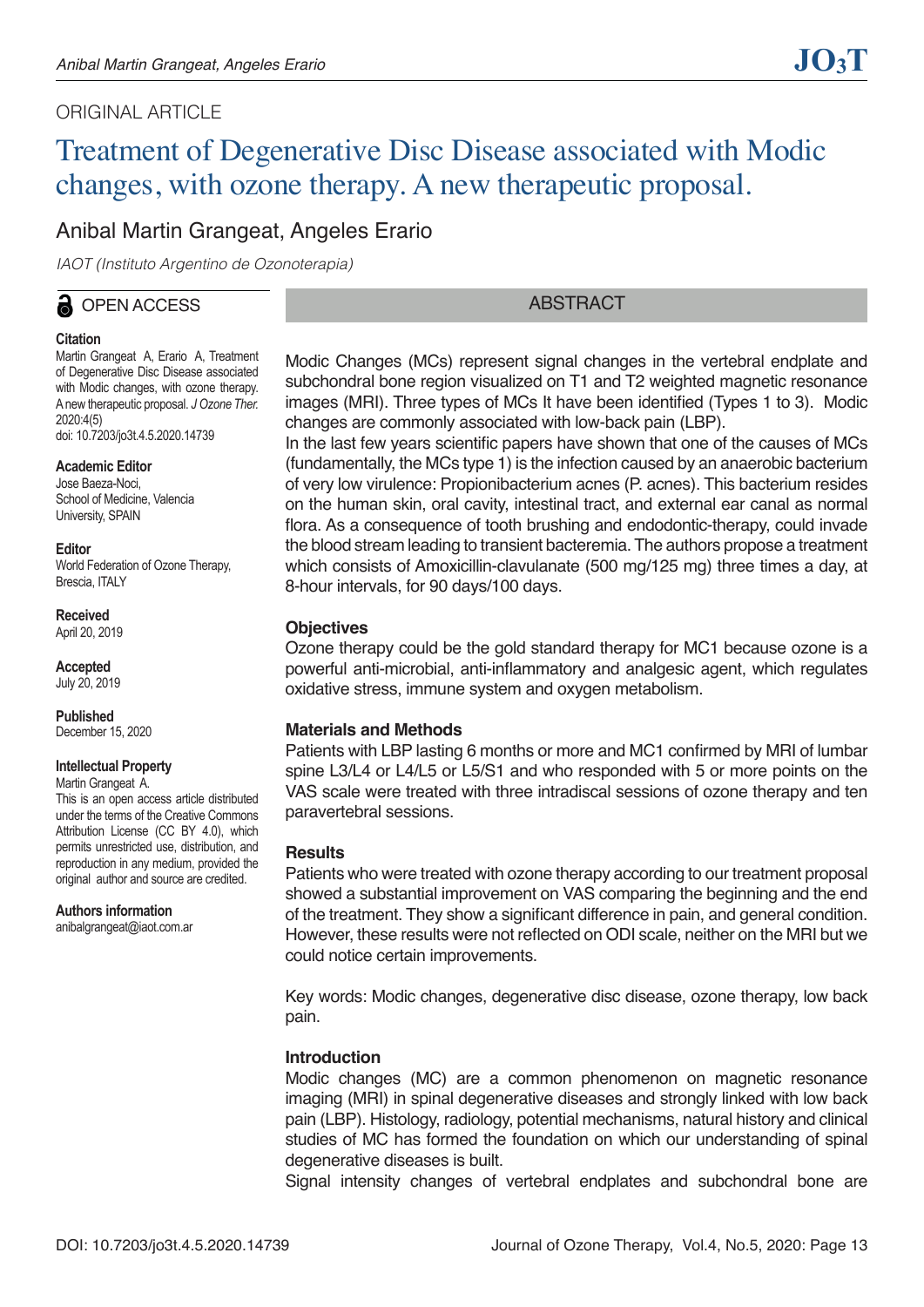# ORIGINAL ARTICLE

# Treatment of Degenerative Disc Disease associated with Modic changes, with ozone therapy. A new therapeutic proposal.

# Anibal Martin Grangeat, Angeles Erario

*IAOT (Instituto Argentino de Ozonoterapia)*

# OPEN ACCESS

## **Citation**

Martin Grangeat A, Erario A, Treatment of Degenerative Disc Disease associated with Modic changes, with ozone therapy. A new therapeutic proposal. *J Ozone Ther.* 2020:4(5) doi: 10.7203/jo3t.4.5.2020.14739

## **Academic Editor**

Jose Baeza-Noci, School of Medicine, Valencia University, SPAIN

#### **Editor**

World Federation of Ozone Therapy, Brescia, ITALY

**Received**  April 20, 2019

**Accepted**  July 20, 2019

**Published**  December 15, 2020

#### **Intellectual Property**

Martin Grangeat A.

This is an open access article distributed under the terms of the Creative Commons Attribution License (CC BY 4.0), which permits unrestricted use, distribution, and reproduction in any medium, provided the original author and source are credited.

**Authors information** anibalgrangeat@iaot.com.ar

# **ABSTRACT**

Modic Changes (MCs) represent signal changes in the vertebral endplate and subchondral bone region visualized on T1 and T2 weighted magnetic resonance images (MRI). Three types of MCs It have been identified (Types 1 to 3). Modic changes are commonly associated with low-back pain (LBP).

In the last few years scientific papers have shown that one of the causes of MCs (fundamentally, the MCs type 1) is the infection caused by an anaerobic bacterium of very low virulence: Propionibacterium acnes (P. acnes). This bacterium resides on the human skin, oral cavity, intestinal tract, and external ear canal as normal flora. As a consequence of tooth brushing and endodontic-therapy, could invade the blood stream leading to transient bacteremia. The authors propose a treatment which consists of Amoxicillin-clavulanate (500 mg/125 mg) three times a day, at 8-hour intervals, for 90 days/100 days.

#### **Objectives**

Ozone therapy could be the gold standard therapy for MC1 because ozone is a powerful anti-microbial, anti-inflammatory and analgesic agent, which regulates oxidative stress, immune system and oxygen metabolism.

#### **Materials and Methods**

Patients with LBP lasting 6 months or more and MC1 confirmed by MRI of lumbar spine L3/L4 or L4/L5 or L5/S1 and who responded with 5 or more points on the VAS scale were treated with three intradiscal sessions of ozone therapy and ten paravertebral sessions.

#### **Results**

Patients who were treated with ozone therapy according to our treatment proposal showed a substantial improvement on VAS comparing the beginning and the end of the treatment. They show a significant difference in pain, and general condition. However, these results were not reflected on ODI scale, neither on the MRI but we could notice certain improvements.

Key words: Modic changes, degenerative disc disease, ozone therapy, low back pain.

#### **Introduction**

Modic changes (MC) are a common phenomenon on magnetic resonance imaging (MRI) in spinal degenerative diseases and strongly linked with low back pain (LBP). Histology, radiology, potential mechanisms, natural history and clinical studies of MC has formed the foundation on which our understanding of spinal degenerative diseases is built.

Signal intensity changes of vertebral endplates and subchondral bone are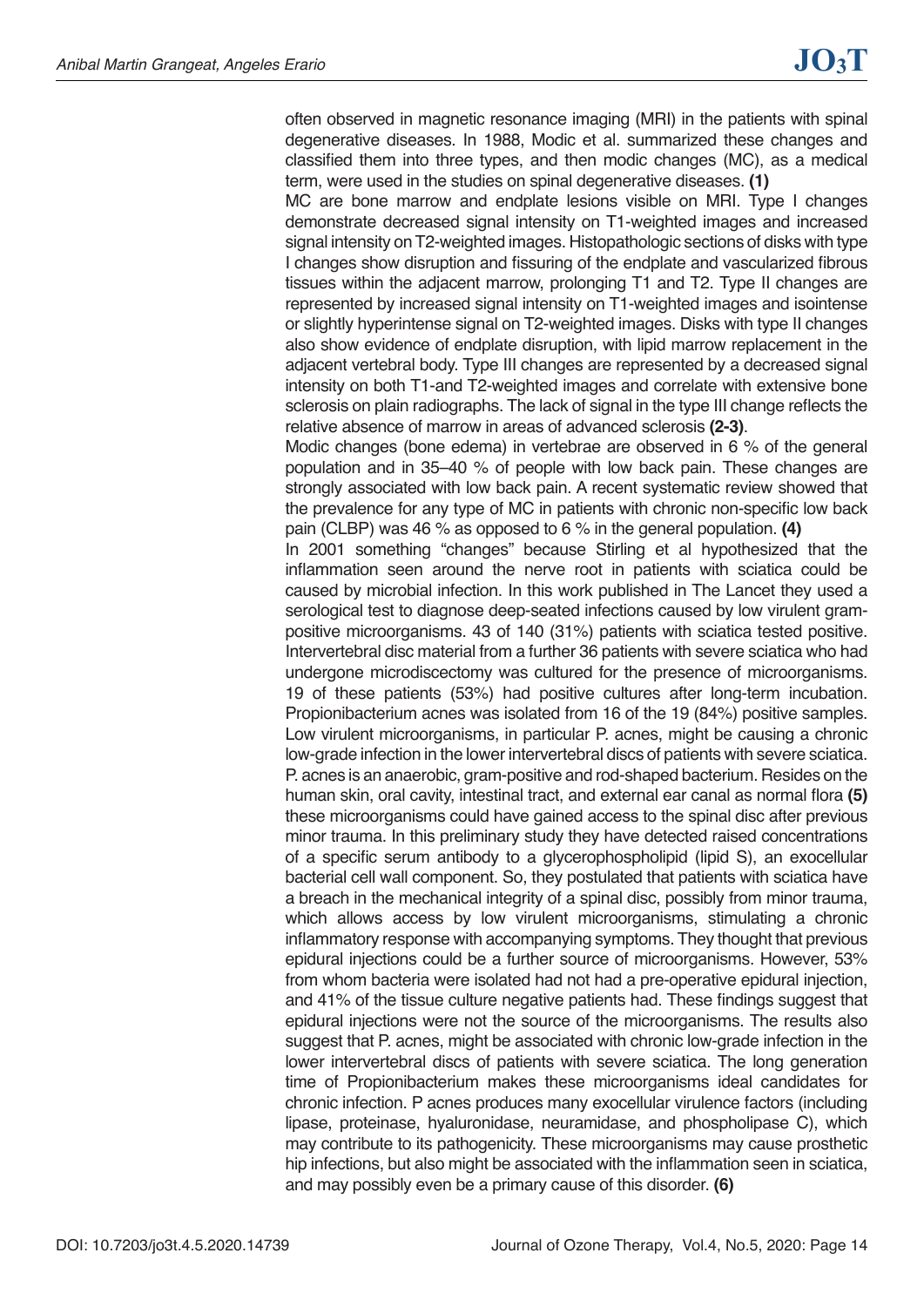often observed in magnetic resonance imaging (MRI) in the patients with spinal degenerative diseases. In 1988, Modic et al. summarized these changes and classified them into three types, and then modic changes (MC), as a medical term, were used in the studies on spinal degenerative diseases. **(1)**

MC are bone marrow and endplate lesions visible on MRI. Type I changes demonstrate decreased signal intensity on T1-weighted images and increased signal intensity on T2-weighted images. Histopathologic sections of disks with type I changes show disruption and fissuring of the endplate and vascularized fibrous tissues within the adjacent marrow, prolonging T1 and T2. Type II changes are represented by increased signal intensity on T1-weighted images and isointense or slightly hyperintense signal on T2-weighted images. Disks with type II changes also show evidence of endplate disruption, with lipid marrow replacement in the adjacent vertebral body. Type III changes are represented by a decreased signal intensity on both T1-and T2-weighted images and correlate with extensive bone sclerosis on plain radiographs. The lack of signal in the type III change reflects the relative absence of marrow in areas of advanced sclerosis **(2-3)**.

Modic changes (bone edema) in vertebrae are observed in 6 % of the general population and in 35–40 % of people with low back pain. These changes are strongly associated with low back pain. A recent systematic review showed that the prevalence for any type of MC in patients with chronic non-specific low back pain (CLBP) was 46 % as opposed to 6 % in the general population. **(4)**

In 2001 something "changes" because Stirling et al hypothesized that the inflammation seen around the nerve root in patients with sciatica could be caused by microbial infection. In this work published in The Lancet they used a serological test to diagnose deep-seated infections caused by low virulent grampositive microorganisms. 43 of 140 (31%) patients with sciatica tested positive. Intervertebral disc material from a further 36 patients with severe sciatica who had undergone microdiscectomy was cultured for the presence of microorganisms. 19 of these patients (53%) had positive cultures after long-term incubation. Propionibacterium acnes was isolated from 16 of the 19 (84%) positive samples. Low virulent microorganisms, in particular P. acnes, might be causing a chronic low-grade infection in the lower intervertebral discs of patients with severe sciatica. P. acnes is an anaerobic, gram-positive and rod-shaped bacterium. Resides on the human skin, oral cavity, intestinal tract, and external ear canal as normal flora **(5)** these microorganisms could have gained access to the spinal disc after previous minor trauma. In this preliminary study they have detected raised concentrations of a specific serum antibody to a glycerophospholipid (lipid S), an exocellular bacterial cell wall component. So, they postulated that patients with sciatica have a breach in the mechanical integrity of a spinal disc, possibly from minor trauma, which allows access by low virulent microorganisms, stimulating a chronic inflammatory response with accompanying symptoms. They thought that previous epidural injections could be a further source of microorganisms. However, 53% from whom bacteria were isolated had not had a pre-operative epidural injection, and 41% of the tissue culture negative patients had. These findings suggest that epidural injections were not the source of the microorganisms. The results also suggest that P. acnes, might be associated with chronic low-grade infection in the lower intervertebral discs of patients with severe sciatica. The long generation time of Propionibacterium makes these microorganisms ideal candidates for chronic infection. P acnes produces many exocellular virulence factors (including lipase, proteinase, hyaluronidase, neuramidase, and phospholipase C), which may contribute to its pathogenicity. These microorganisms may cause prosthetic hip infections, but also might be associated with the inflammation seen in sciatica, and may possibly even be a primary cause of this disorder. **(6)**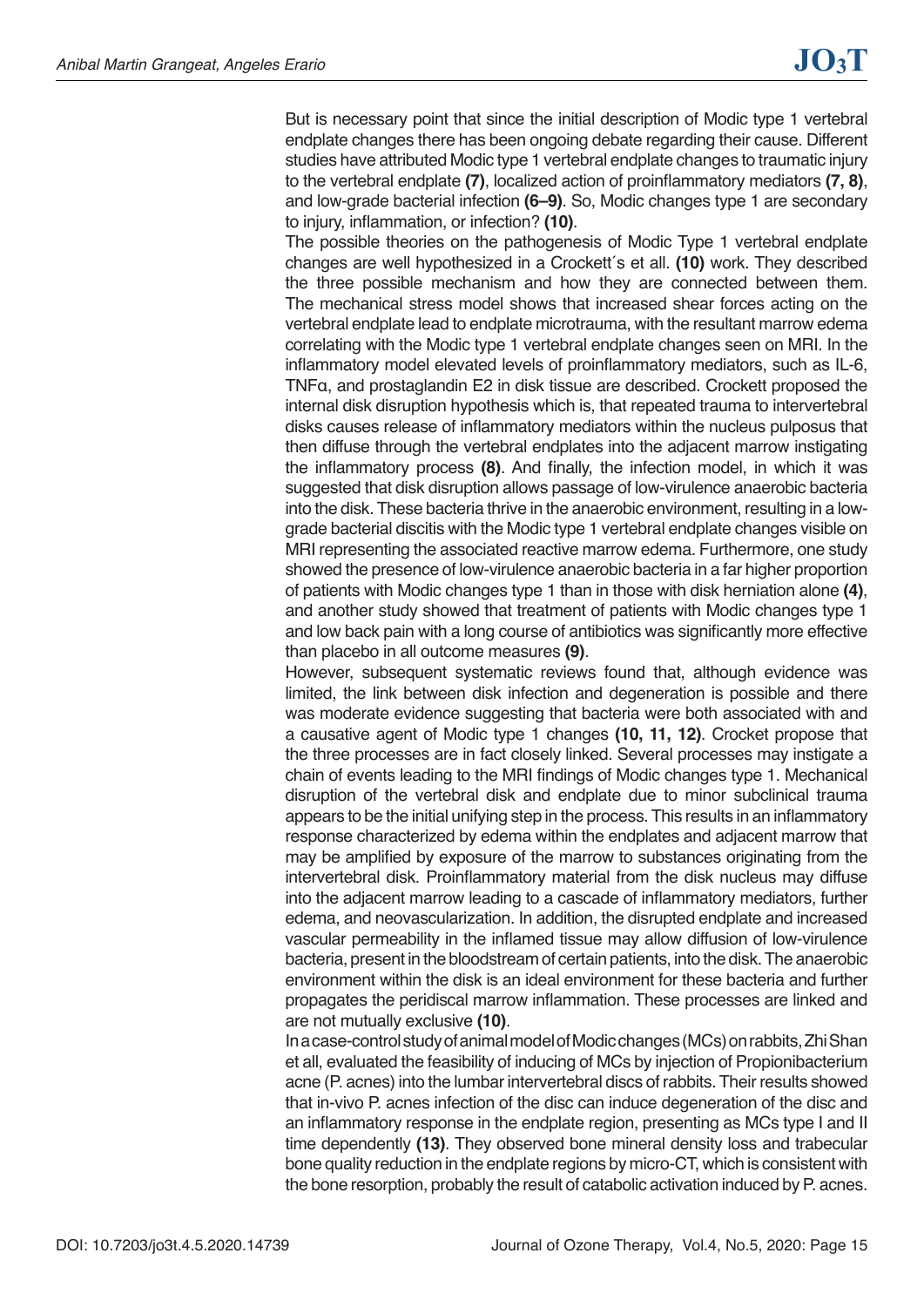But is necessary point that since the initial description of Modic type 1 vertebral endplate changes there has been ongoing debate regarding their cause. Different studies have attributed Modic type 1 vertebral endplate changes to traumatic injury to the vertebral endplate **(7)**, localized action of proinflammatory mediators **(7, 8)**, and low-grade bacterial infection **(6–9)**. So, Modic changes type 1 are secondary to injury, inflammation, or infection? **(10)**.

The possible theories on the pathogenesis of Modic Type 1 vertebral endplate changes are well hypothesized in a Crockett´s et all. **(10)** work. They described the three possible mechanism and how they are connected between them. The mechanical stress model shows that increased shear forces acting on the vertebral endplate lead to endplate microtrauma, with the resultant marrow edema correlating with the Modic type 1 vertebral endplate changes seen on MRI. In the inflammatory model elevated levels of proinflammatory mediators, such as IL-6, TNFα, and prostaglandin E2 in disk tissue are described. Crockett proposed the internal disk disruption hypothesis which is, that repeated trauma to intervertebral disks causes release of inflammatory mediators within the nucleus pulposus that then diffuse through the vertebral endplates into the adjacent marrow instigating the inflammatory process **(8)**. And finally, the infection model, in which it was suggested that disk disruption allows passage of low-virulence anaerobic bacteria into the disk. These bacteria thrive in the anaerobic environment, resulting in a lowgrade bacterial discitis with the Modic type 1 vertebral endplate changes visible on MRI representing the associated reactive marrow edema. Furthermore, one study showed the presence of low-virulence anaerobic bacteria in a far higher proportion of patients with Modic changes type 1 than in those with disk herniation alone **(4)**, and another study showed that treatment of patients with Modic changes type 1 and low back pain with a long course of antibiotics was significantly more effective than placebo in all outcome measures **(9)**.

However, subsequent systematic reviews found that, although evidence was limited, the link between disk infection and degeneration is possible and there was moderate evidence suggesting that bacteria were both associated with and a causative agent of Modic type 1 changes **(10, 11, 12)**. Crocket propose that the three processes are in fact closely linked. Several processes may instigate a chain of events leading to the MRI findings of Modic changes type 1. Mechanical disruption of the vertebral disk and endplate due to minor subclinical trauma appears to be the initial unifying step in the process. This results in an inflammatory response characterized by edema within the endplates and adjacent marrow that may be amplified by exposure of the marrow to substances originating from the intervertebral disk. Proinflammatory material from the disk nucleus may diffuse into the adjacent marrow leading to a cascade of inflammatory mediators, further edema, and neovascularization. In addition, the disrupted endplate and increased vascular permeability in the inflamed tissue may allow diffusion of low-virulence bacteria, present in the bloodstream of certain patients, into the disk. The anaerobic environment within the disk is an ideal environment for these bacteria and further propagates the peridiscal marrow inflammation. These processes are linked and are not mutually exclusive **(10)**.

In a case-control study of animal model of Modic changes (MCs) on rabbits, Zhi Shan et all, evaluated the feasibility of inducing of MCs by injection of Propionibacterium acne (P. acnes) into the lumbar intervertebral discs of rabbits. Their results showed that in-vivo P. acnes infection of the disc can induce degeneration of the disc and an inflammatory response in the endplate region, presenting as MCs type I and II time dependently **(13)**. They observed bone mineral density loss and trabecular bone quality reduction in the endplate regions by micro-CT, which is consistent with the bone resorption, probably the result of catabolic activation induced by P. acnes.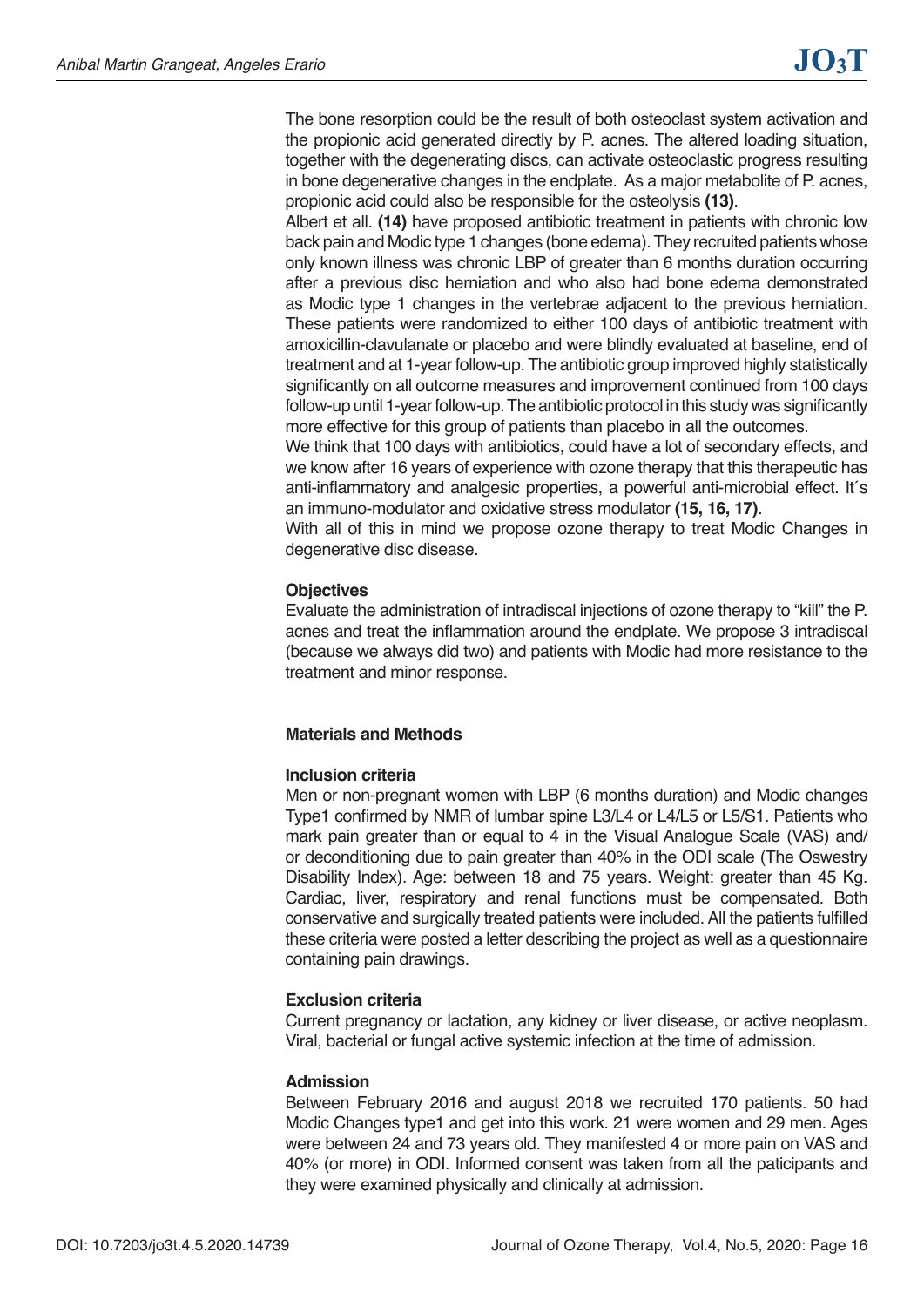The bone resorption could be the result of both osteoclast system activation and the propionic acid generated directly by P. acnes. The altered loading situation, together with the degenerating discs, can activate osteoclastic progress resulting in bone degenerative changes in the endplate. As a major metabolite of P. acnes, propionic acid could also be responsible for the osteolysis **(13)**.

Albert et all. **(14)** have proposed antibiotic treatment in patients with chronic low back pain and Modic type 1 changes (bone edema). They recruited patients whose only known illness was chronic LBP of greater than 6 months duration occurring after a previous disc herniation and who also had bone edema demonstrated as Modic type 1 changes in the vertebrae adjacent to the previous herniation. These patients were randomized to either 100 days of antibiotic treatment with amoxicillin-clavulanate or placebo and were blindly evaluated at baseline, end of treatment and at 1-year follow-up. The antibiotic group improved highly statistically significantly on all outcome measures and improvement continued from 100 days follow-up until 1-year follow-up. The antibiotic protocol in this study was significantly more effective for this group of patients than placebo in all the outcomes.

We think that 100 days with antibiotics, could have a lot of secondary effects, and we know after 16 years of experience with ozone therapy that this therapeutic has anti-inflammatory and analgesic properties, a powerful anti-microbial effect. It´s an immuno-modulator and oxidative stress modulator **(15, 16, 17)**.

With all of this in mind we propose ozone therapy to treat Modic Changes in degenerative disc disease.

#### **Objectives**

Evaluate the administration of intradiscal injections of ozone therapy to "kill" the P. acnes and treat the inflammation around the endplate. We propose 3 intradiscal (because we always did two) and patients with Modic had more resistance to the treatment and minor response.

#### **Materials and Methods**

#### **Inclusion criteria**

Men or non-pregnant women with LBP (6 months duration) and Modic changes Type1 confirmed by NMR of lumbar spine L3/L4 or L4/L5 or L5/S1. Patients who mark pain greater than or equal to 4 in the Visual Analogue Scale (VAS) and/ or deconditioning due to pain greater than 40% in the ODI scale (The Oswestry Disability Index). Age: between 18 and 75 years. Weight: greater than 45 Kg. Cardiac, liver, respiratory and renal functions must be compensated. Both conservative and surgically treated patients were included. All the patients fulfilled these criteria were posted a letter describing the project as well as a questionnaire containing pain drawings.

#### **Exclusion criteria**

Current pregnancy or lactation, any kidney or liver disease, or active neoplasm. Viral, bacterial or fungal active systemic infection at the time of admission.

#### **Admission**

Between February 2016 and august 2018 we recruited 170 patients. 50 had Modic Changes type1 and get into this work. 21 were women and 29 men. Ages were between 24 and 73 years old. They manifested 4 or more pain on VAS and 40% (or more) in ODI. Informed consent was taken from all the paticipants and they were examined physically and clinically at admission.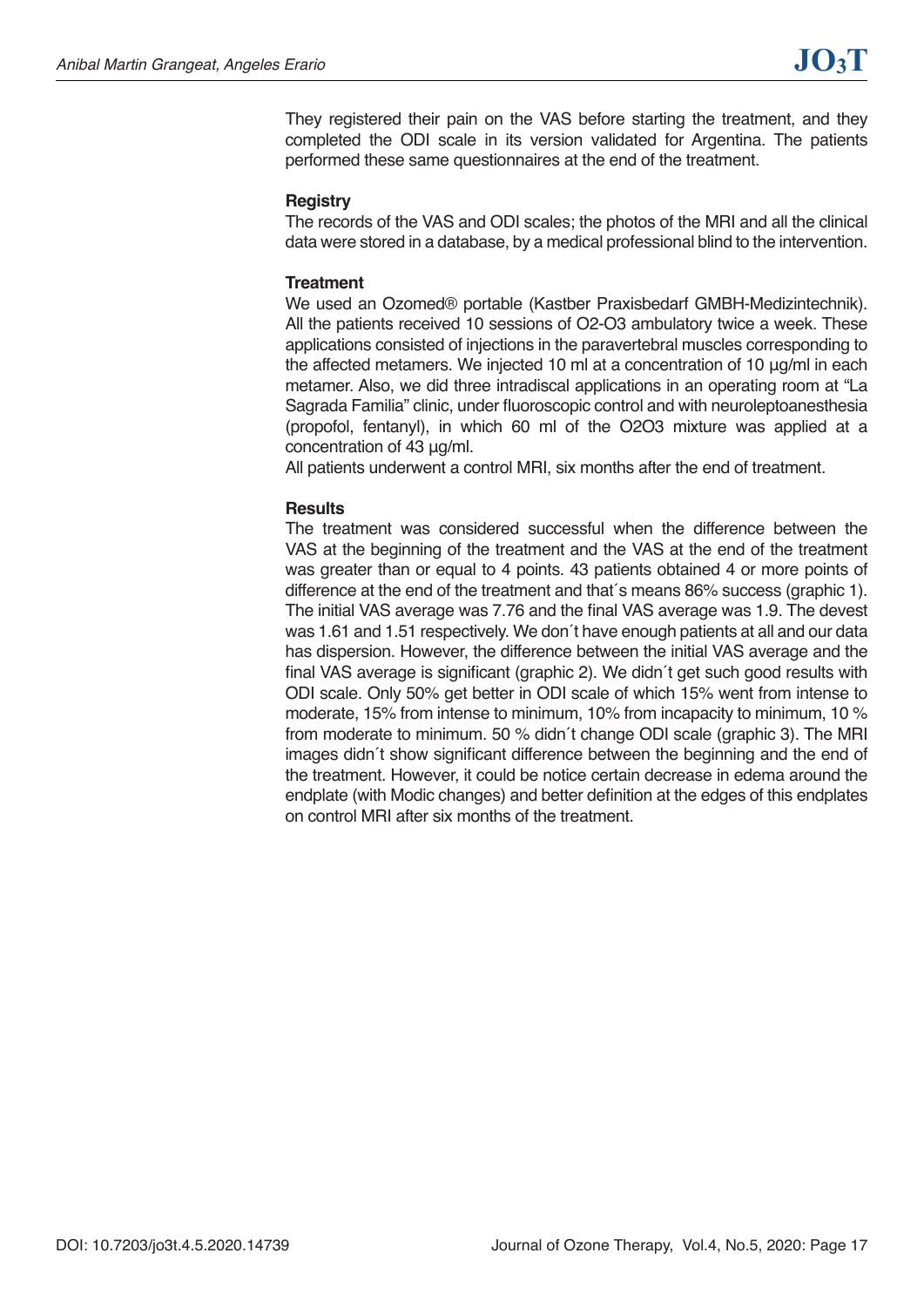They registered their pain on the VAS before starting the treatment, and they completed the ODI scale in its version validated for Argentina. The patients performed these same questionnaires at the end of the treatment.

#### **Registry**

The records of the VAS and ODI scales; the photos of the MRI and all the clinical data were stored in a database, by a medical professional blind to the intervention.

#### **Treatment**

We used an Ozomed® portable (Kastber Praxisbedarf GMBH-Medizintechnik). All the patients received 10 sessions of O2-O3 ambulatory twice a week. These applications consisted of injections in the paravertebral muscles corresponding to the affected metamers. We injected 10 ml at a concentration of 10 μg/ml in each metamer. Also, we did three intradiscal applications in an operating room at "La Sagrada Familia" clinic, under fluoroscopic control and with neuroleptoanesthesia (propofol, fentanyl), in which 60 ml of the O2O3 mixture was applied at a concentration of 43 μg/ml.

All patients underwent a control MRI, six months after the end of treatment.

#### **Results**

The treatment was considered successful when the difference between the VAS at the beginning of the treatment and the VAS at the end of the treatment was greater than or equal to 4 points. 43 patients obtained 4 or more points of difference at the end of the treatment and that´s means 86% success (graphic 1). The initial VAS average was 7.76 and the final VAS average was 1.9. The devest was 1.61 and 1.51 respectively. We don´t have enough patients at all and our data has dispersion. However, the difference between the initial VAS average and the final VAS average is significant (graphic 2). We didn´t get such good results with ODI scale. Only 50% get better in ODI scale of which 15% went from intense to moderate, 15% from intense to minimum, 10% from incapacity to minimum, 10 % from moderate to minimum. 50 % didn´t change ODI scale (graphic 3). The MRI images didn´t show significant difference between the beginning and the end of the treatment. However, it could be notice certain decrease in edema around the endplate (with Modic changes) and better definition at the edges of this endplates on control MRI after six months of the treatment.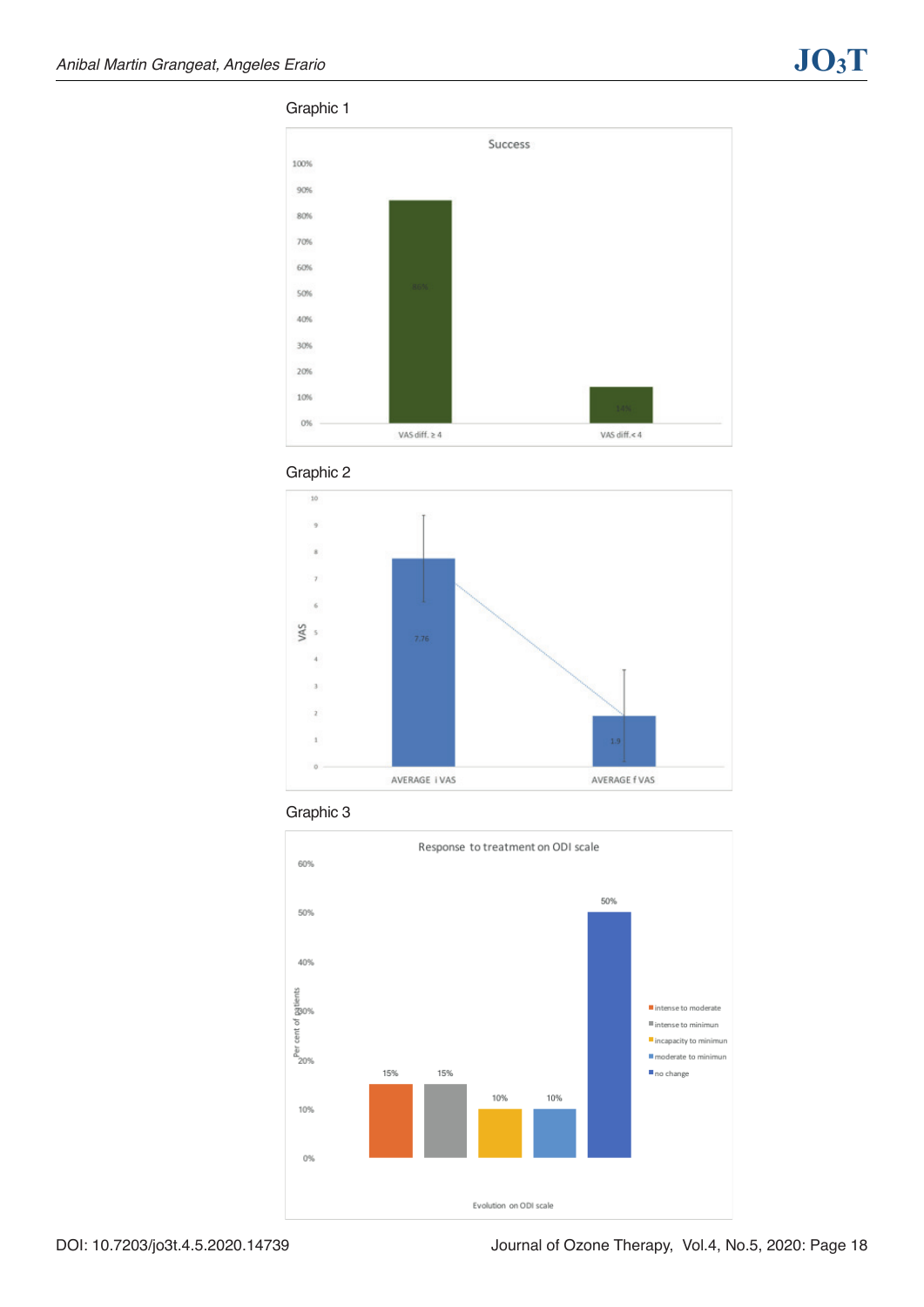#### Graphic 1









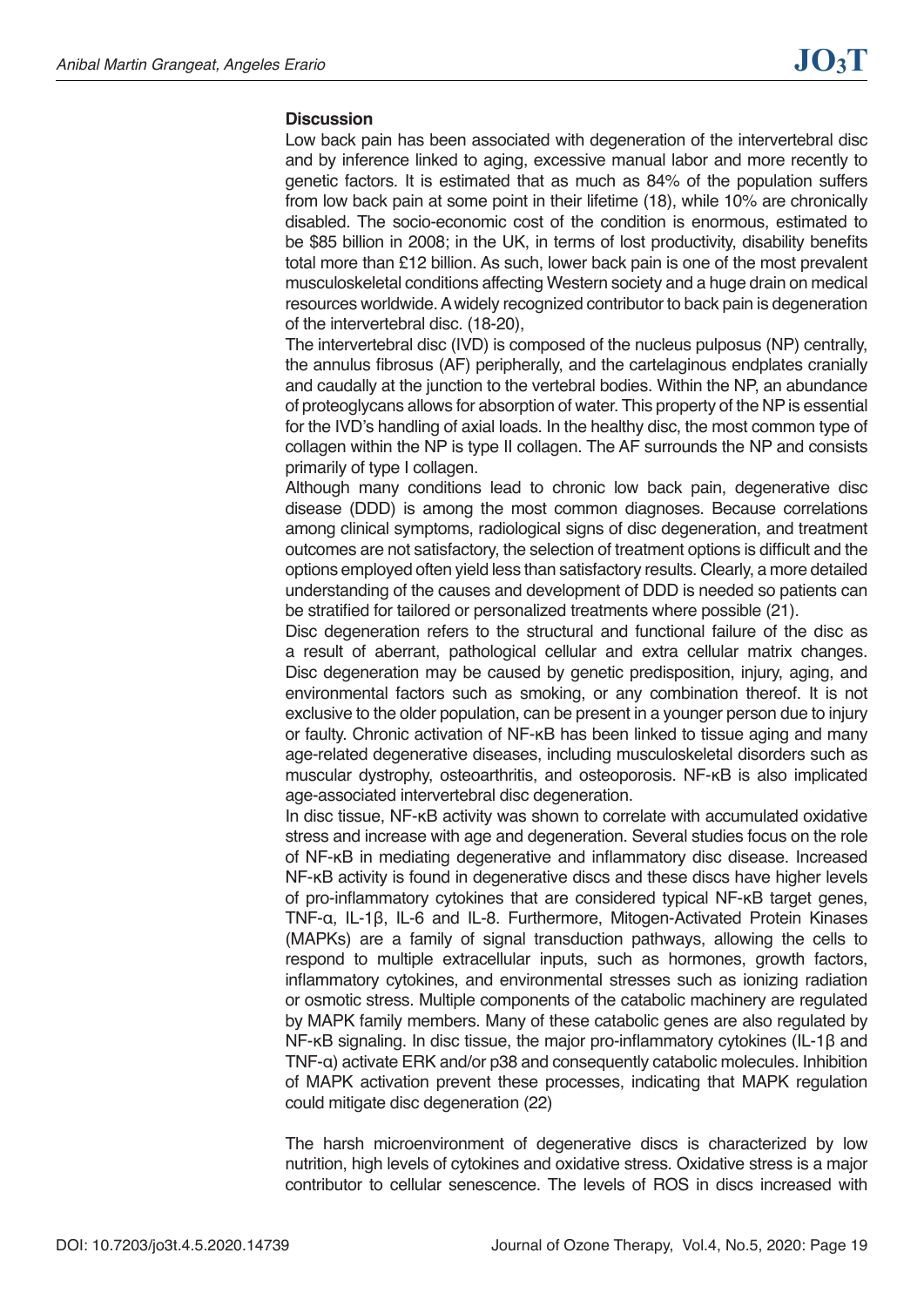#### **Discussion**

Low back pain has been associated with degeneration of the intervertebral disc and by inference linked to aging, excessive manual labor and more recently to genetic factors. It is estimated that as much as 84% of the population suffers from low back pain at some point in their lifetime (18), while 10% are chronically disabled. The socio-economic cost of the condition is enormous, estimated to be \$85 billion in 2008; in the UK, in terms of lost productivity, disability benefits total more than £12 billion. As such, lower back pain is one of the most prevalent musculoskeletal conditions affecting Western society and a huge drain on medical resources worldwide. A widely recognized contributor to back pain is degeneration of the intervertebral disc. (18-20),

The intervertebral disc (IVD) is composed of the nucleus pulposus (NP) centrally, the annulus fibrosus (AF) peripherally, and the cartelaginous endplates cranially and caudally at the junction to the vertebral bodies. Within the NP, an abundance of proteoglycans allows for absorption of water. This property of the NP is essential for the IVD's handling of axial loads. In the healthy disc, the most common type of collagen within the NP is type II collagen. The AF surrounds the NP and consists primarily of type I collagen.

Although many conditions lead to chronic low back pain, degenerative disc disease (DDD) is among the most common diagnoses. Because correlations among clinical symptoms, radiological signs of disc degeneration, and treatment outcomes are not satisfactory, the selection of treatment options is difficult and the options employed often yield less than satisfactory results. Clearly, a more detailed understanding of the causes and development of DDD is needed so patients can be stratified for tailored or personalized treatments where possible (21).

Disc degeneration refers to the structural and functional failure of the disc as a result of aberrant, pathological cellular and extra cellular matrix changes. Disc degeneration may be caused by genetic predisposition, injury, aging, and environmental factors such as smoking, or any combination thereof. It is not exclusive to the older population, can be present in a younger person due to injury or faulty. Chronic activation of NF-κB has been linked to tissue aging and many age-related degenerative diseases, including musculoskeletal disorders such as muscular dystrophy, osteoarthritis, and osteoporosis. NF-κB is also implicated age-associated intervertebral disc degeneration.

In disc tissue, NF-κB activity was shown to correlate with accumulated oxidative stress and increase with age and degeneration. Several studies focus on the role of NF-κB in mediating degenerative and inflammatory disc disease. Increased NF-κB activity is found in degenerative discs and these discs have higher levels of pro-inflammatory cytokines that are considered typical NF-κB target genes, TNF-α, IL-1β, IL-6 and IL-8. Furthermore, Mitogen-Activated Protein Kinases (MAPKs) are a family of signal transduction pathways, allowing the cells to respond to multiple extracellular inputs, such as hormones, growth factors, inflammatory cytokines, and environmental stresses such as ionizing radiation or osmotic stress. Multiple components of the catabolic machinery are regulated by MAPK family members. Many of these catabolic genes are also regulated by NF-κB signaling. In disc tissue, the major pro-inflammatory cytokines (IL-1β and TNF-α) activate ERK and/or p38 and consequently catabolic molecules. Inhibition of MAPK activation prevent these processes, indicating that MAPK regulation could mitigate disc degeneration (22)

The harsh microenvironment of degenerative discs is characterized by low nutrition, high levels of cytokines and oxidative stress. Oxidative stress is a major contributor to cellular senescence. The levels of ROS in discs increased with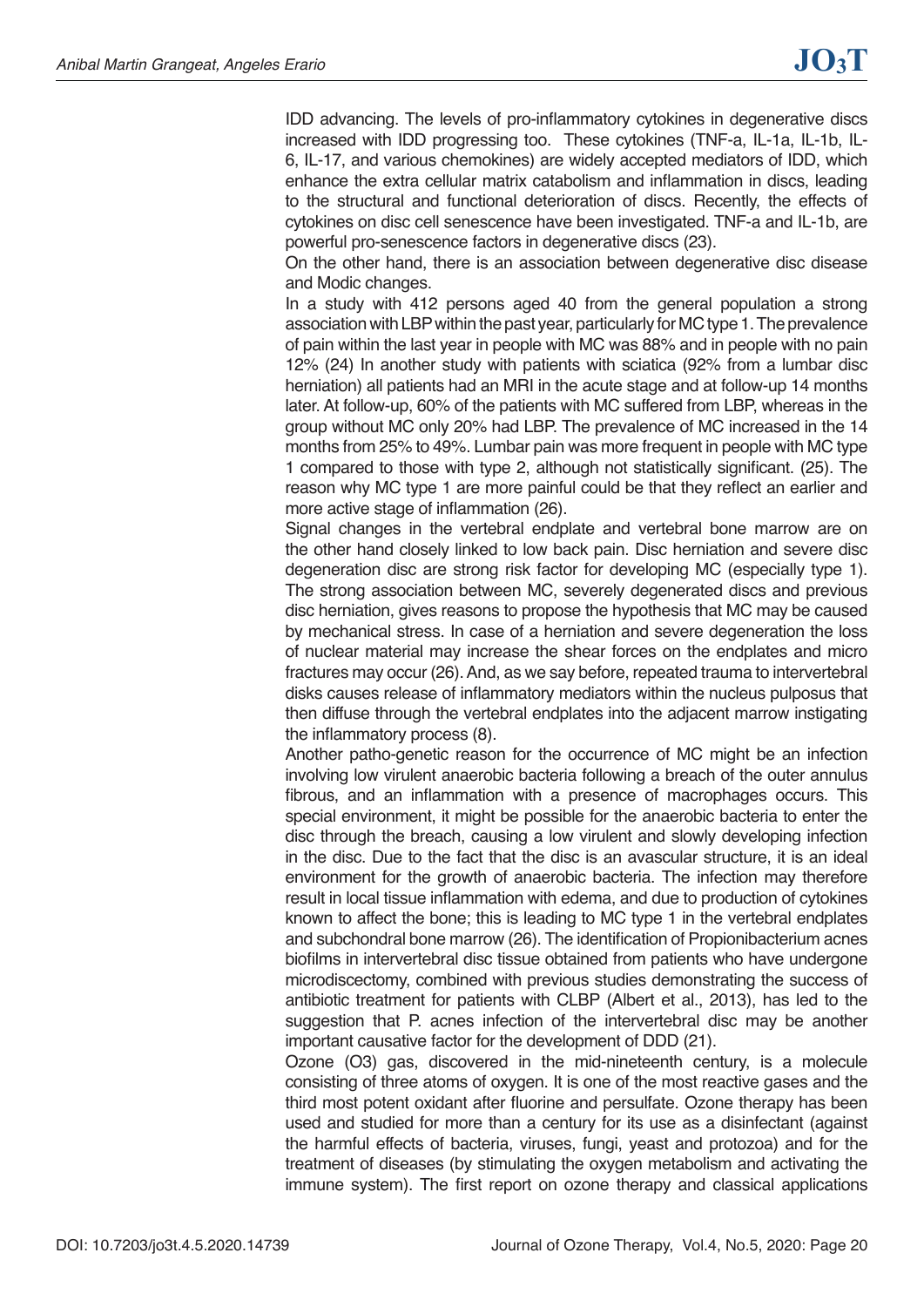IDD advancing. The levels of pro-inflammatory cytokines in degenerative discs increased with IDD progressing too. These cytokines (TNF-a, IL-1a, IL-1b, IL-6, IL-17, and various chemokines) are widely accepted mediators of IDD, which enhance the extra cellular matrix catabolism and inflammation in discs, leading to the structural and functional deterioration of discs. Recently, the effects of cytokines on disc cell senescence have been investigated. TNF-a and IL-1b, are powerful pro-senescence factors in degenerative discs (23).

On the other hand, there is an association between degenerative disc disease and Modic changes.

In a study with 412 persons aged 40 from the general population a strong association with LBP within the past year, particularly for MC type 1. The prevalence of pain within the last year in people with MC was 88% and in people with no pain 12% (24) In another study with patients with sciatica (92% from a lumbar disc herniation) all patients had an MRI in the acute stage and at follow-up 14 months later. At follow-up, 60% of the patients with MC suffered from LBP, whereas in the group without MC only 20% had LBP. The prevalence of MC increased in the 14 months from 25% to 49%. Lumbar pain was more frequent in people with MC type 1 compared to those with type 2, although not statistically significant. (25). The reason why MC type 1 are more painful could be that they reflect an earlier and more active stage of inflammation (26).

Signal changes in the vertebral endplate and vertebral bone marrow are on the other hand closely linked to low back pain. Disc herniation and severe disc degeneration disc are strong risk factor for developing MC (especially type 1). The strong association between MC, severely degenerated discs and previous disc herniation, gives reasons to propose the hypothesis that MC may be caused by mechanical stress. In case of a herniation and severe degeneration the loss of nuclear material may increase the shear forces on the endplates and micro fractures may occur (26). And, as we say before, repeated trauma to intervertebral disks causes release of inflammatory mediators within the nucleus pulposus that then diffuse through the vertebral endplates into the adjacent marrow instigating the inflammatory process (8).

Another patho-genetic reason for the occurrence of MC might be an infection involving low virulent anaerobic bacteria following a breach of the outer annulus fibrous, and an inflammation with a presence of macrophages occurs. This special environment, it might be possible for the anaerobic bacteria to enter the disc through the breach, causing a low virulent and slowly developing infection in the disc. Due to the fact that the disc is an avascular structure, it is an ideal environment for the growth of anaerobic bacteria. The infection may therefore result in local tissue inflammation with edema, and due to production of cytokines known to affect the bone; this is leading to MC type 1 in the vertebral endplates and subchondral bone marrow (26). The identification of Propionibacterium acnes biofilms in intervertebral disc tissue obtained from patients who have undergone microdiscectomy, combined with previous studies demonstrating the success of antibiotic treatment for patients with CLBP (Albert et al., 2013), has led to the suggestion that P. acnes infection of the intervertebral disc may be another important causative factor for the development of DDD (21).

Ozone (O3) gas, discovered in the mid-nineteenth century, is a molecule consisting of three atoms of oxygen. It is one of the most reactive gases and the third most potent oxidant after fluorine and persulfate. Ozone therapy has been used and studied for more than a century for its use as a disinfectant (against the harmful effects of bacteria, viruses, fungi, yeast and protozoa) and for the treatment of diseases (by stimulating the oxygen metabolism and activating the immune system). The first report on ozone therapy and classical applications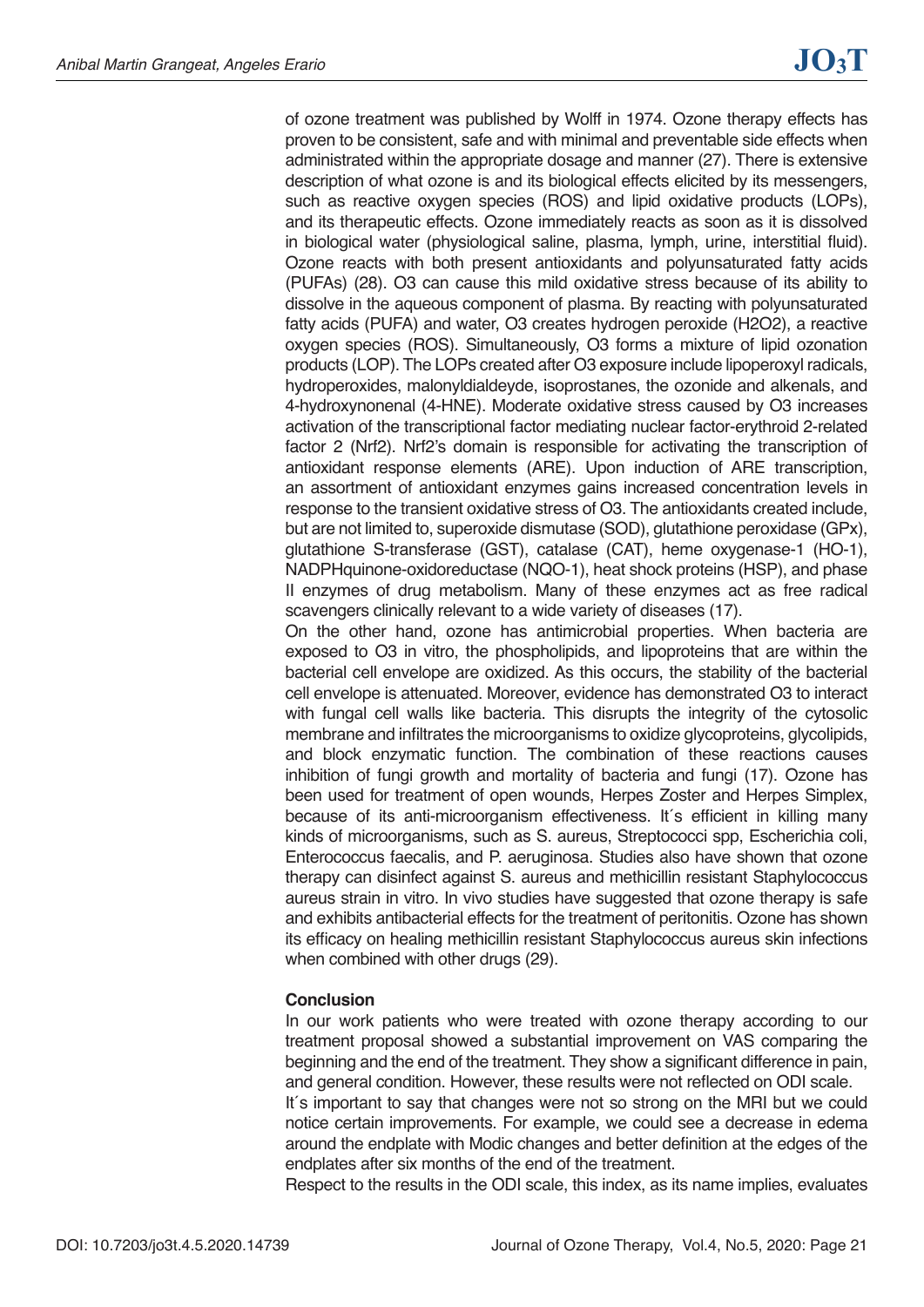of ozone treatment was published by Wolff in 1974. Ozone therapy effects has proven to be consistent, safe and with minimal and preventable side effects when administrated within the appropriate dosage and manner (27). There is extensive description of what ozone is and its biological effects elicited by its messengers, such as reactive oxygen species (ROS) and lipid oxidative products (LOPs), and its therapeutic effects. Ozone immediately reacts as soon as it is dissolved in biological water (physiological saline, plasma, lymph, urine, interstitial fluid). Ozone reacts with both present antioxidants and polyunsaturated fatty acids (PUFAs) (28). O3 can cause this mild oxidative stress because of its ability to dissolve in the aqueous component of plasma. By reacting with polyunsaturated fatty acids (PUFA) and water, O3 creates hydrogen peroxide (H2O2), a reactive oxygen species (ROS). Simultaneously, O3 forms a mixture of lipid ozonation products (LOP). The LOPs created after O3 exposure include lipoperoxyl radicals, hydroperoxides, malonyldialdeyde, isoprostanes, the ozonide and alkenals, and 4-hydroxynonenal (4-HNE). Moderate oxidative stress caused by O3 increases activation of the transcriptional factor mediating nuclear factor-erythroid 2-related factor 2 (Nrf2). Nrf2's domain is responsible for activating the transcription of antioxidant response elements (ARE). Upon induction of ARE transcription, an assortment of antioxidant enzymes gains increased concentration levels in response to the transient oxidative stress of O3. The antioxidants created include, but are not limited to, superoxide dismutase (SOD), glutathione peroxidase (GPx), glutathione S-transferase (GST), catalase (CAT), heme oxygenase-1 (HO-1), NADPHquinone-oxidoreductase (NQO-1), heat shock proteins (HSP), and phase II enzymes of drug metabolism. Many of these enzymes act as free radical scavengers clinically relevant to a wide variety of diseases (17).

On the other hand, ozone has antimicrobial properties. When bacteria are exposed to O3 in vitro, the phospholipids, and lipoproteins that are within the bacterial cell envelope are oxidized. As this occurs, the stability of the bacterial cell envelope is attenuated. Moreover, evidence has demonstrated O3 to interact with fungal cell walls like bacteria. This disrupts the integrity of the cytosolic membrane and infiltrates the microorganisms to oxidize glycoproteins, glycolipids, and block enzymatic function. The combination of these reactions causes inhibition of fungi growth and mortality of bacteria and fungi (17). Ozone has been used for treatment of open wounds, Herpes Zoster and Herpes Simplex, because of its anti-microorganism effectiveness. It's efficient in killing many kinds of microorganisms, such as S. aureus, Streptococci spp, Escherichia coli, Enterococcus faecalis, and P. aeruginosa. Studies also have shown that ozone therapy can disinfect against S. aureus and methicillin resistant Staphylococcus aureus strain in vitro. In vivo studies have suggested that ozone therapy is safe and exhibits antibacterial effects for the treatment of peritonitis. Ozone has shown its efficacy on healing methicillin resistant Staphylococcus aureus skin infections when combined with other drugs (29).

#### **Conclusion**

In our work patients who were treated with ozone therapy according to our treatment proposal showed a substantial improvement on VAS comparing the beginning and the end of the treatment. They show a significant difference in pain, and general condition. However, these results were not reflected on ODI scale.

It´s important to say that changes were not so strong on the MRI but we could notice certain improvements. For example, we could see a decrease in edema around the endplate with Modic changes and better definition at the edges of the endplates after six months of the end of the treatment.

Respect to the results in the ODI scale, this index, as its name implies, evaluates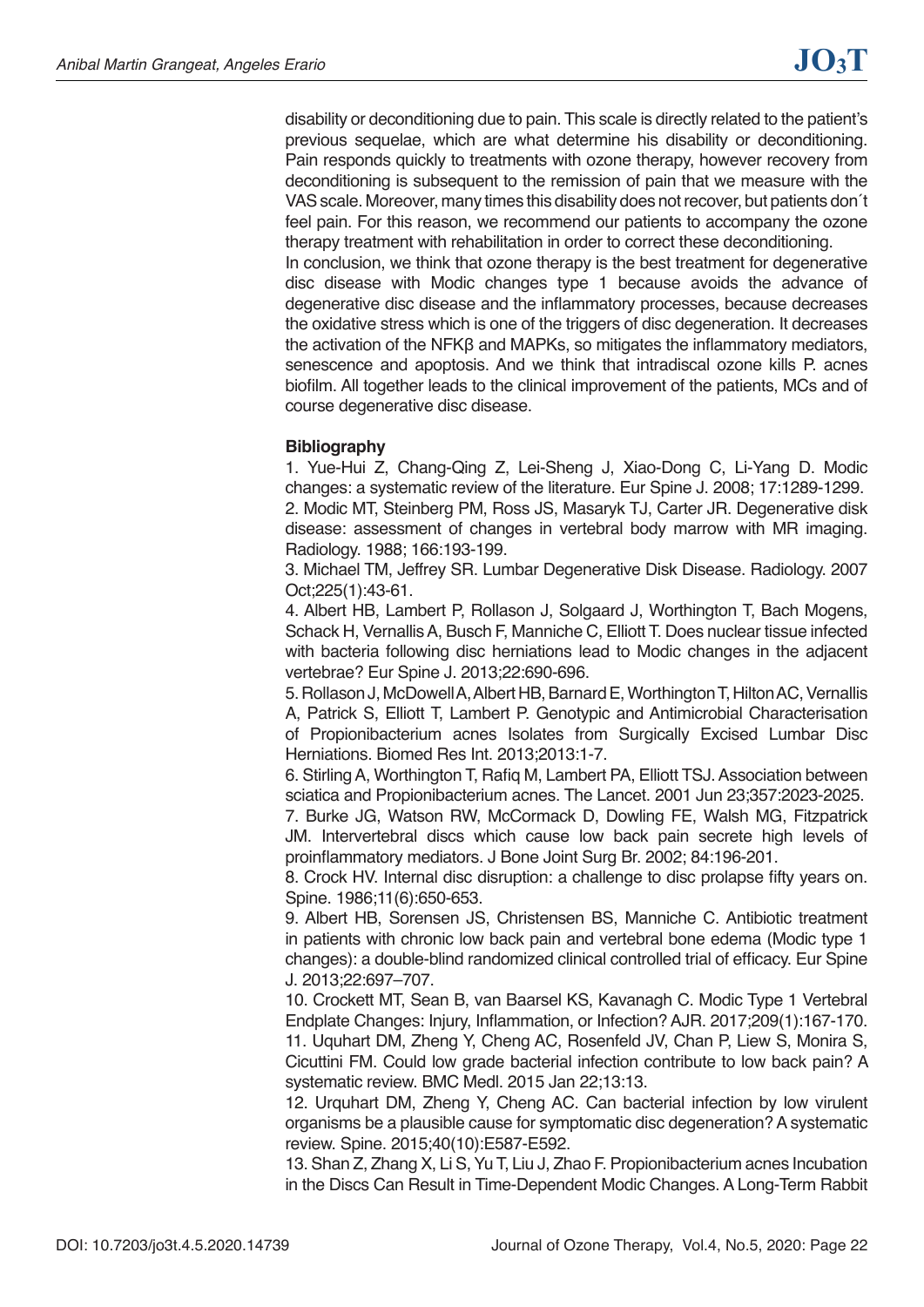disability or deconditioning due to pain. This scale is directly related to the patient's previous sequelae, which are what determine his disability or deconditioning. Pain responds quickly to treatments with ozone therapy, however recovery from deconditioning is subsequent to the remission of pain that we measure with the VAS scale. Moreover, many times this disability does not recover, but patients don´t feel pain. For this reason, we recommend our patients to accompany the ozone therapy treatment with rehabilitation in order to correct these deconditioning.

In conclusion, we think that ozone therapy is the best treatment for degenerative disc disease with Modic changes type 1 because avoids the advance of degenerative disc disease and the inflammatory processes, because decreases the oxidative stress which is one of the triggers of disc degeneration. It decreases the activation of the NFKβ and MAPKs, so mitigates the inflammatory mediators, senescence and apoptosis. And we think that intradiscal ozone kills P. acnes biofilm. All together leads to the clinical improvement of the patients, MCs and of course degenerative disc disease.

## **Bibliography**

1. Yue-Hui Z, Chang-Qing Z, Lei-Sheng J, Xiao-Dong C, Li-Yang D. Modic changes: a systematic review of the literature. Eur Spine J. 2008; 17:1289-1299. 2. Modic MT, Steinberg PM, Ross JS, Masaryk TJ, Carter JR. Degenerative disk disease: assessment of changes in vertebral body marrow with MR imaging. Radiology. 1988; 166:193-199.

3. Michael TM, Jeffrey SR. Lumbar Degenerative Disk Disease. Radiology. 2007 Oct;225(1):43-61.

4. Albert HB, Lambert P, Rollason J, Solgaard J, Worthington T, Bach Mogens, Schack H, Vernallis A, Busch F, Manniche C, Elliott T. Does nuclear tissue infected with bacteria following disc herniations lead to Modic changes in the adjacent vertebrae? Eur Spine J. 2013;22:690-696.

5. Rollason J, McDowell A, Albert HB, Barnard E, Worthington T, Hilton AC, Vernallis A, Patrick S, Elliott T, Lambert P. Genotypic and Antimicrobial Characterisation of Propionibacterium acnes Isolates from Surgically Excised Lumbar Disc Herniations. Biomed Res Int. 2013;2013:1-7.

6. Stirling A, Worthington T, Rafiq M, Lambert PA, Elliott TSJ. Association between sciatica and Propionibacterium acnes. The Lancet. 2001 Jun 23;357:2023-2025.

7. Burke JG, Watson RW, McCormack D, Dowling FE, Walsh MG, Fitzpatrick JM. Intervertebral discs which cause low back pain secrete high levels of proinflammatory mediators. J Bone Joint Surg Br. 2002; 84:196-201.

8. Crock HV. Internal disc disruption: a challenge to disc prolapse fifty years on. Spine. 1986;11(6):650-653.

9. Albert HB, Sorensen JS, Christensen BS, Manniche C. Antibiotic treatment in patients with chronic low back pain and vertebral bone edema (Modic type 1 changes): a double-blind randomized clinical controlled trial of efficacy. Eur Spine J. 2013;22:697–707.

10. Crockett MT, Sean B, van Baarsel KS, Kavanagh C. Modic Type 1 Vertebral Endplate Changes: Injury, Inflammation, or Infection? AJR. 2017;209(1):167-170. 11. Uquhart DM, Zheng Y, Cheng AC, Rosenfeld JV, Chan P, Liew S, Monira S, Cicuttini FM. Could low grade bacterial infection contribute to low back pain? A systematic review. BMC Medl. 2015 Jan 22;13:13.

12. Urquhart DM, Zheng Y, Cheng AC. Can bacterial infection by low virulent organisms be a plausible cause for symptomatic disc degeneration? A systematic review. Spine. 2015;40(10):E587-E592.

13. Shan Z, Zhang X, Li S, Yu T, Liu J, Zhao F. Propionibacterium acnes Incubation in the Discs Can Result in Time-Dependent Modic Changes. A Long-Term Rabbit